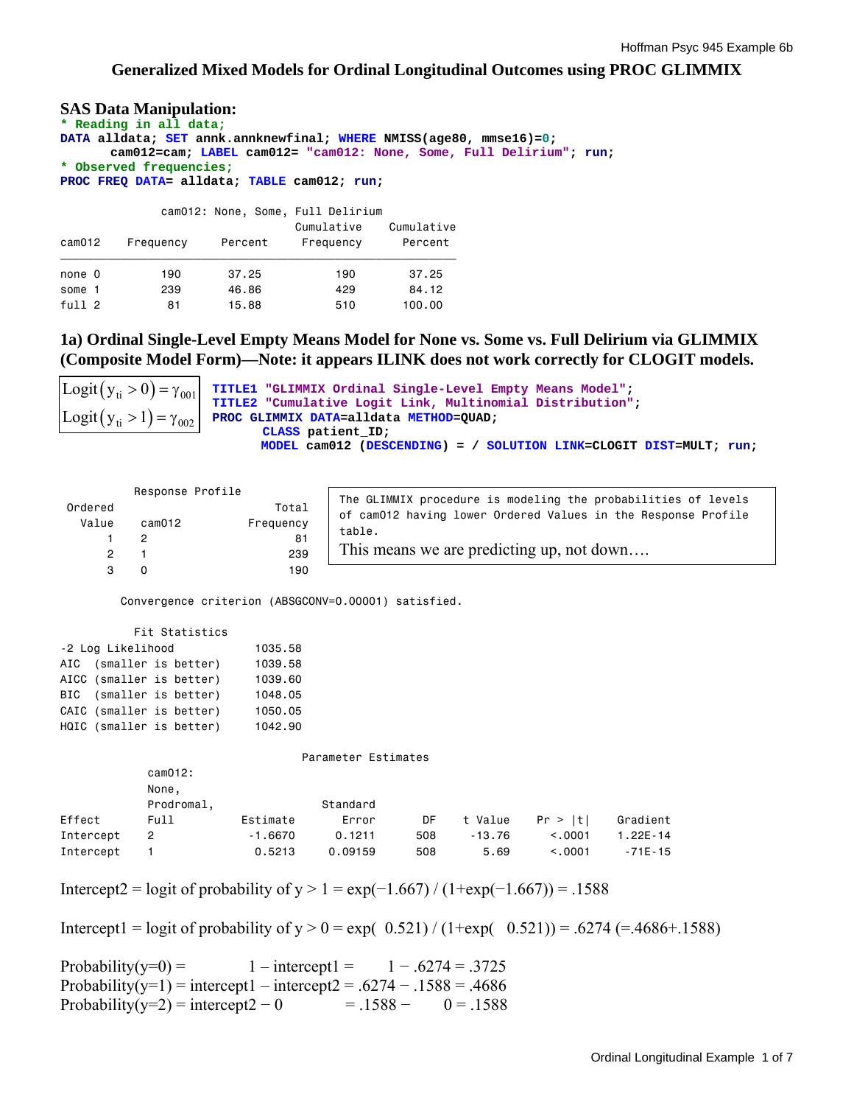### **Generalized Mixed Models for Ordinal Longitudinal Outcomes using PROC GLIMMIX**

**SAS Data Manipulation:** 

**\* Reading in all data; DATA alldata; SET annk.annknewfinal; WHERE NMISS(age80, mmse16)=0; cam012=cam; LABEL cam012= "cam012: None, Some, Full Delirium"; run; \* Observed frequencies; PROC FREQ DATA= alldata; TABLE cam012; run;**  cam012: None, Some, Full Delirium

| cam012            | Frequency | Percent | Cumulative<br>Frequency | Cumulative<br>Percent |
|-------------------|-----------|---------|-------------------------|-----------------------|
| none 0            | 190       | 37.25   | 190                     | 37.25                 |
| some 1            | 239       | 46.86   | 429                     | 84.12                 |
| full <sub>2</sub> | 81        | 15.88   | 510                     | 100,00                |

**1a) Ordinal Single-Level Empty Means Model for None vs. Some vs. Full Delirium via GLIMMIX (Composite Model Form)—Note: it appears ILINK does not work correctly for CLOGIT models.** 

```
TITLE1 "GLIMMIX Ordinal Single-Level Empty Means Model";
                      TITLE2 "Cumulative Logit Link, Multinomial Distribution"; 
\text{Logit}(y_{ti} > 1) = \gamma_{002} PROC GLIMMIX DATA=alldata METHOD=QUAD;
                            CLASS patient_ID; 
                              MODEL cam012 (DESCENDING) = / SOLUTION LINK=CLOGIT DIST=MULT; run; 
Logit (y_{ti} > 0) = \gamma_{001}
```

|                   | Response Profile                                    |                                                               |                     |                                                               |          |          |              |  |  |  |  |
|-------------------|-----------------------------------------------------|---------------------------------------------------------------|---------------------|---------------------------------------------------------------|----------|----------|--------------|--|--|--|--|
|                   |                                                     | The GLIMMIX procedure is modeling the probabilities of levels |                     |                                                               |          |          |              |  |  |  |  |
| Ordered           |                                                     | Total                                                         |                     | of cam012 having lower Ordered Values in the Response Profile |          |          |              |  |  |  |  |
| Value             | cam012                                              | Frequency                                                     | table.              |                                                               |          |          |              |  |  |  |  |
|                   | $\overline{2}$                                      | 81                                                            |                     |                                                               |          |          |              |  |  |  |  |
| $\overline{c}$    |                                                     | 239                                                           |                     | This means we are predicting up, not down                     |          |          |              |  |  |  |  |
| 3                 | 0                                                   | 190                                                           |                     |                                                               |          |          |              |  |  |  |  |
|                   | Convergence criterion (ABSGCONV=0.00001) satisfied. |                                                               |                     |                                                               |          |          |              |  |  |  |  |
|                   | Fit Statistics                                      |                                                               |                     |                                                               |          |          |              |  |  |  |  |
| -2 Log Likelihood |                                                     | 1035.58                                                       |                     |                                                               |          |          |              |  |  |  |  |
| AIC               | (smaller is better)                                 | 1039.58                                                       |                     |                                                               |          |          |              |  |  |  |  |
|                   | AICC (smaller is better)                            | 1039.60                                                       |                     |                                                               |          |          |              |  |  |  |  |
| BIC               | (smaller is better)                                 | 1048.05                                                       |                     |                                                               |          |          |              |  |  |  |  |
|                   | CAIC (smaller is better)                            | 1050.05                                                       |                     |                                                               |          |          |              |  |  |  |  |
|                   | HQIC (smaller is better)                            | 1042.90                                                       |                     |                                                               |          |          |              |  |  |  |  |
|                   |                                                     |                                                               | Parameter Estimates |                                                               |          |          |              |  |  |  |  |
|                   | cam012:                                             |                                                               |                     |                                                               |          |          |              |  |  |  |  |
|                   | None,                                               |                                                               |                     |                                                               |          |          |              |  |  |  |  |
|                   | Prodromal,                                          |                                                               | Standard            |                                                               |          |          |              |  |  |  |  |
| Effect            | Full                                                | Estimate                                                      | Error               | DF                                                            | t Value  | Pr >  t  | Gradient     |  |  |  |  |
| Intercept         | $\overline{2}$                                      | $-1.6670$                                                     | 0.1211              | 508                                                           | $-13.76$ | < 0.0001 | $1.22E - 14$ |  |  |  |  |
| Intercept         |                                                     | 0.5213                                                        | 0.09159             | 508                                                           | 5.69     | < 0.0001 | $-71E - 15$  |  |  |  |  |

Intercept2 = logit of probability of y > 1 = exp(−1.667) / (1+exp(−1.667)) = .1588

Intercept1 = logit of probability of  $y > 0$  = exp( 0.521) / (1+exp( 0.521)) = .6274 (=.4686+.1588)

Probability(y=0) =  $1 - \text{intercept1} = 1 - .6274 = .3725$ Probability(y=1) = intercept1 – intercept2 = .6274 – .1588 = .4686 Probability(y=2) = intercept2 – 0 = .1588 – 0 = .1588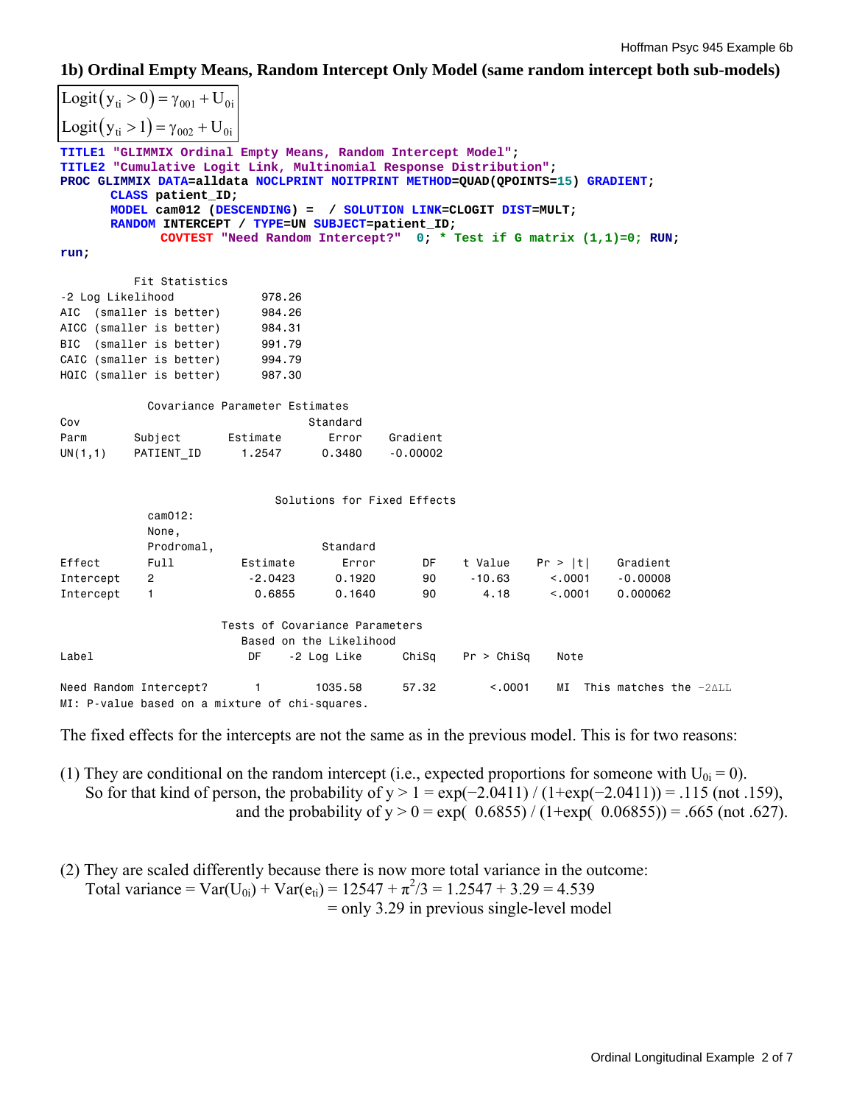### **1b) Ordinal Empty Means, Random Intercept Only Model (same random intercept both sub-models)**

```
TITLE1 "GLIMMIX Ordinal Empty Means, Random Intercept Model"; 
TITLE2 "Cumulative Logit Link, Multinomial Response Distribution"; 
PROC GLIMMIX DATA=alldata NOCLPRINT NOITPRINT METHOD=QUAD(QPOINTS=15) GRADIENT; 
      CLASS patient_ID; 
      MODEL cam012 (DESCENDING) = / SOLUTION LINK=CLOGIT DIST=MULT; 
      RANDOM INTERCEPT / TYPE=UN SUBJECT=patient_ID; 
              COVTEST "Need Random Intercept?" 0; * Test if G matrix (1,1)=0; RUN; 
run; 
          Fit Statistics 
-2 Log Likelihood 978.26 
AIC (smaller is better) 984.26
AICC (smaller is better) 984.31
BIC (smaller is better) 991.79<br>CAIC (smaller is better) 994.79
CAIC (smaller is better)
HQIC (smaller is better) 987.30
            Covariance Parameter Estimates 
Cov Standard
Parm Subject Estimate Error Gradient
UN(1,1) PATIENT_ID 1.2547 0.3480 -0.00002 
                            Solutions for Fixed Effects 
            cam012: 
            None, 
           Prodromal, Standard
Effect Full Estimate Error DF t Value Pr > |t| Gradient 
Intercept 2 -2.0423 0.1920 90 -10.63 <.0001 -0.00008 
الله المحدد 10.63 × 10.00008 c. 0001 = 0.00008<br>Intercept 1 0.6855 0.1640 90 4.18 <.0001 0.000062
                     Tests of Covariance Parameters 
                        Based on the Likelihood 
Label DF -2 Log Like ChiSq Pr > ChiSq Note 
Need Random Intercept? 1 1035.58 57.32 <.0001 MI This matches the -2ΔLL
MI: P-value based on a mixture of chi-squares. 
Logit (y_{ti} > 0) = \gamma_{001} + U_{0i}Logit (y_{ti} > 1) = \gamma_{002} + U_{0i}
```
The fixed effects for the intercepts are not the same as in the previous model. This is for two reasons:

- (1) They are conditional on the random intercept (i.e., expected proportions for someone with  $U_{0i} = 0$ ). So for that kind of person, the probability of  $y > 1 = \exp(-2.0411) / (1 + \exp(-2.0411)) = .115$  (not .159), and the probability of  $y > 0 = exp(0.6855) / (1+exp(0.06855)) = .665$  (not .627).
- (2) They are scaled differently because there is now more total variance in the outcome: Total variance = Var(U<sub>0i</sub>) + Var(e<sub>ti</sub>) = 12547 +  $\pi^2/3$  = 1.2547 + 3.29 = 4.539 = only 3.29 in previous single-level model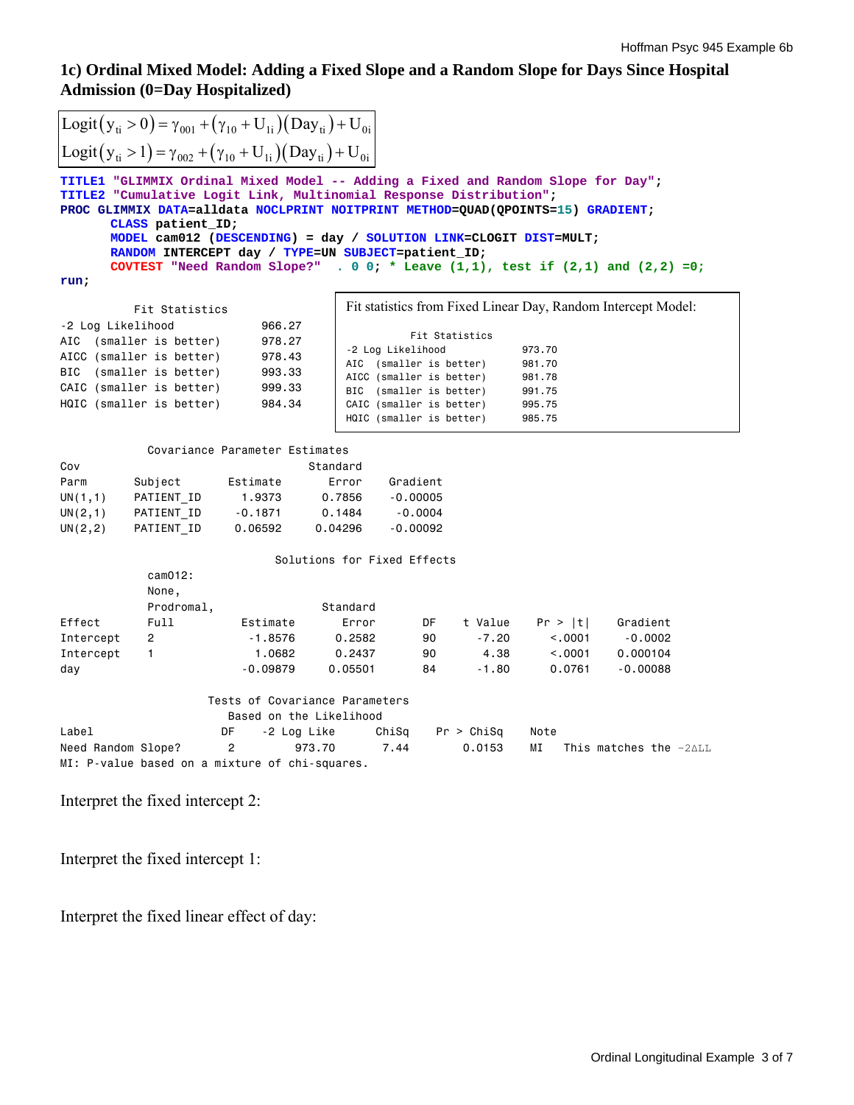# **1c) Ordinal Mixed Model: Adding a Fixed Slope and a Random Slope for Days Since Hospital Admission (0=Day Hospitalized)**

|                                                           |                                                                                                        | Logit $(y_{ti} > 0) = \gamma_{001} + (\gamma_{10} + U_{1i})(Day_{ti}) + U_{0i}$                                                                                                                                                                                                                                                                                                                                                                               |                                                      |            |                    |                     |                                                               |  |  |
|-----------------------------------------------------------|--------------------------------------------------------------------------------------------------------|---------------------------------------------------------------------------------------------------------------------------------------------------------------------------------------------------------------------------------------------------------------------------------------------------------------------------------------------------------------------------------------------------------------------------------------------------------------|------------------------------------------------------|------------|--------------------|---------------------|---------------------------------------------------------------|--|--|
|                                                           |                                                                                                        |                                                                                                                                                                                                                                                                                                                                                                                                                                                               |                                                      |            |                    |                     |                                                               |  |  |
|                                                           | Logit( $y_{ti} > 1$ ) = $\gamma_{002} + (\gamma_{10} + U_{1i})$ (Day <sub>ti</sub> ) + U <sub>0i</sub> |                                                                                                                                                                                                                                                                                                                                                                                                                                                               |                                                      |            |                    |                     |                                                               |  |  |
|                                                           | CLASS patient ID;                                                                                      | TITLE1 "GLIMMIX Ordinal Mixed Model -- Adding a Fixed and Random Slope for Day";<br>TITLE2 "Cumulative Logit Link, Multinomial Response Distribution";<br>PROC GLIMMIX DATA=alldata NOCLPRINT NOITPRINT METHOD=QUAD(QPOINTS=15) GRADIENT;<br>MODEL cam012 (DESCENDING) = day / SOLUTION LINK=CLOGIT DIST=MULT;<br>RANDOM INTERCEPT day / TYPE=UN SUBJECT=patient_ID;<br>COVTEST "Need Random Slope?" . 0 0; * Leave $(1,1)$ , test if $(2,1)$ and $(2,2)$ =0; |                                                      |            |                    |                     |                                                               |  |  |
| run;                                                      |                                                                                                        |                                                                                                                                                                                                                                                                                                                                                                                                                                                               |                                                      |            |                    |                     |                                                               |  |  |
| -2 Log Likelihood                                         | Fit Statistics                                                                                         | 966.27                                                                                                                                                                                                                                                                                                                                                                                                                                                        |                                                      |            |                    |                     | Fit statistics from Fixed Linear Day, Random Intercept Model: |  |  |
| AIC                                                       | (smaller is better)                                                                                    | 978.27                                                                                                                                                                                                                                                                                                                                                                                                                                                        | -2 Log Likelihood                                    |            | Fit Statistics     | 973.70              |                                                               |  |  |
|                                                           | AICC (smaller is better)                                                                               | 978.43                                                                                                                                                                                                                                                                                                                                                                                                                                                        | AIC (smaller is better)                              |            |                    | 981.70              |                                                               |  |  |
| BIC                                                       | (smaller is better)                                                                                    | 993.33                                                                                                                                                                                                                                                                                                                                                                                                                                                        | AICC (smaller is better)                             |            |                    | 981.78              |                                                               |  |  |
|                                                           | CAIC (smaller is better)                                                                               | 999.33                                                                                                                                                                                                                                                                                                                                                                                                                                                        | BIC (smaller is better)                              |            |                    | 991.75              |                                                               |  |  |
|                                                           | HQIC (smaller is better)                                                                               | 984.34                                                                                                                                                                                                                                                                                                                                                                                                                                                        | CAIC (smaller is better)<br>HQIC (smaller is better) |            |                    | 995.75<br>985.75    |                                                               |  |  |
|                                                           |                                                                                                        |                                                                                                                                                                                                                                                                                                                                                                                                                                                               |                                                      |            |                    |                     |                                                               |  |  |
|                                                           |                                                                                                        | Covariance Parameter Estimates                                                                                                                                                                                                                                                                                                                                                                                                                                |                                                      |            |                    |                     |                                                               |  |  |
| Cov                                                       |                                                                                                        |                                                                                                                                                                                                                                                                                                                                                                                                                                                               | Standard                                             |            |                    |                     |                                                               |  |  |
| Parm                                                      | Subject                                                                                                | Estimate                                                                                                                                                                                                                                                                                                                                                                                                                                                      | Error                                                | Gradient   |                    |                     |                                                               |  |  |
| UN $(1,1)$                                                | PATIENT ID                                                                                             | 1,9373                                                                                                                                                                                                                                                                                                                                                                                                                                                        | 0.7856                                               | $-0.00005$ |                    |                     |                                                               |  |  |
| UN(2,1)                                                   | PATIENT ID                                                                                             | $-0.1871$                                                                                                                                                                                                                                                                                                                                                                                                                                                     | 0.1484                                               | $-0.0004$  |                    |                     |                                                               |  |  |
| UN(2, 2)                                                  | PATIENT ID                                                                                             | 0.06592                                                                                                                                                                                                                                                                                                                                                                                                                                                       | 0.04296                                              | $-0.00092$ |                    |                     |                                                               |  |  |
|                                                           |                                                                                                        |                                                                                                                                                                                                                                                                                                                                                                                                                                                               | Solutions for Fixed Effects                          |            |                    |                     |                                                               |  |  |
|                                                           | cam012:<br>None,                                                                                       |                                                                                                                                                                                                                                                                                                                                                                                                                                                               |                                                      |            |                    |                     |                                                               |  |  |
|                                                           | Prodromal,                                                                                             |                                                                                                                                                                                                                                                                                                                                                                                                                                                               | Standard                                             |            |                    |                     |                                                               |  |  |
| Effect                                                    | Full                                                                                                   | Estimate                                                                                                                                                                                                                                                                                                                                                                                                                                                      | Error                                                | DF         | t Value<br>$-7.20$ | Pr >  t <br>< 0.001 | Gradient                                                      |  |  |
| Intercept                                                 | $\overline{2}$<br>$\mathbf{1}$                                                                         | $-1.8576$                                                                                                                                                                                                                                                                                                                                                                                                                                                     | 0.2582                                               | 90         | 4.38               |                     | $-0.0002$                                                     |  |  |
| Intercept                                                 |                                                                                                        | 1,0682<br>$-0.09879$                                                                                                                                                                                                                                                                                                                                                                                                                                          | 0.2437<br>0.05501                                    | 90<br>84   | $-1.80$            | < 0.0001<br>0.0761  | 0.000104<br>$-0.00088$                                        |  |  |
| day                                                       |                                                                                                        |                                                                                                                                                                                                                                                                                                                                                                                                                                                               |                                                      |            |                    |                     |                                                               |  |  |
| Tests of Covariance Parameters<br>Based on the Likelihood |                                                                                                        |                                                                                                                                                                                                                                                                                                                                                                                                                                                               |                                                      |            |                    |                     |                                                               |  |  |
| Label                                                     |                                                                                                        | DF<br>-2 Log Like                                                                                                                                                                                                                                                                                                                                                                                                                                             | ChiSq                                                |            | Pr > Chisq         | Note                |                                                               |  |  |
| Need Random Slope?                                        |                                                                                                        | $\mathfrak{p}$<br>973.70                                                                                                                                                                                                                                                                                                                                                                                                                                      | 7.44                                                 |            | 0.0153             | МI                  | This matches the $-2$ $\wedge$ LL                             |  |  |
|                                                           |                                                                                                        | MI: P-value based on a mixture of chi-squares.                                                                                                                                                                                                                                                                                                                                                                                                                |                                                      |            |                    |                     |                                                               |  |  |

Interpret the fixed intercept 2:

Interpret the fixed intercept 1:

Interpret the fixed linear effect of day: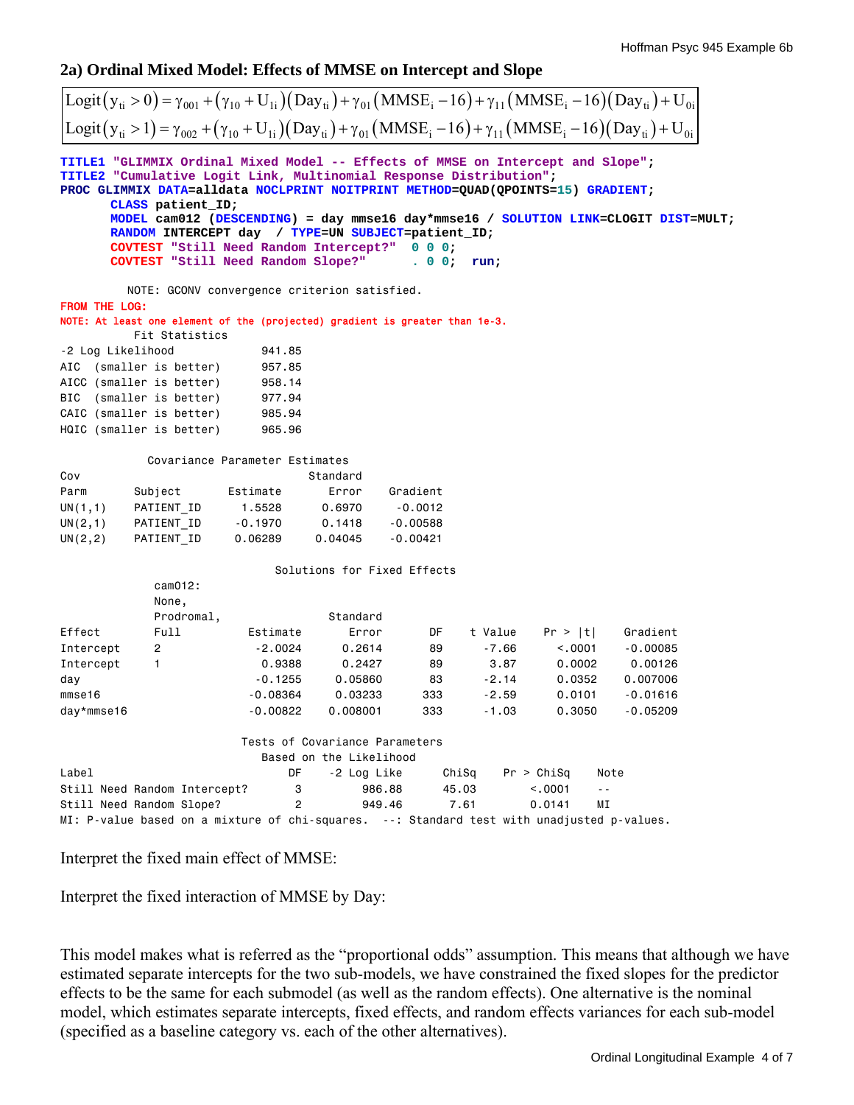## **2a) Ordinal Mixed Model: Effects of MMSE on Intercept and Slope**

| Logit $(y_{ti} > 0) = \gamma_{001} + (\gamma_{10} + U_{1i})(Day_{ti}) + \gamma_{01}(MMSE_i - 16) + \gamma_{11}(MMSE_i - 16)(Day_{ti}) + U_{0i}$                                                                                                                                                                                                                                                                                                                                                                       |                                                                                            |                                |                                |                             |         |                          |            |  |
|-----------------------------------------------------------------------------------------------------------------------------------------------------------------------------------------------------------------------------------------------------------------------------------------------------------------------------------------------------------------------------------------------------------------------------------------------------------------------------------------------------------------------|--------------------------------------------------------------------------------------------|--------------------------------|--------------------------------|-----------------------------|---------|--------------------------|------------|--|
| Logit $(y_{ti} > 1) = \gamma_{002} + (\gamma_{10} + U_{1i})(Day_{ti}) + \gamma_{01}(MMSE_i - 16) + \gamma_{11}(MMSE_i - 16)(Day_{ti}) + U_{0i}$                                                                                                                                                                                                                                                                                                                                                                       |                                                                                            |                                |                                |                             |         |                          |            |  |
| TITLE1 "GLIMMIX Ordinal Mixed Model -- Effects of MMSE on Intercept and Slope";<br>TITLE2 "Cumulative Logit Link, Multinomial Response Distribution";<br>PROC GLIMMIX DATA=alldata NOCLPRINT NOITPRINT METHOD=QUAD(QPOINTS=15) GRADIENT;<br>CLASS patient ID;<br>MODEL cam012 (DESCENDING) = day mmse16 day*mmse16 / SOLUTION LINK=CLOGIT DIST=MULT;<br>RANDOM INTERCEPT day / TYPE=UN SUBJECT=patient_ID;<br>COVTEST "Still Need Random Intercept?"<br>0 0 0;<br>COVTEST "Still Need Random Slope?"<br>. 00;<br>run; |                                                                                            |                                |                                |                             |         |                          |            |  |
|                                                                                                                                                                                                                                                                                                                                                                                                                                                                                                                       | NOTE: GCONV convergence criterion satisfied.                                               |                                |                                |                             |         |                          |            |  |
| <b>FROM THE LOG:</b>                                                                                                                                                                                                                                                                                                                                                                                                                                                                                                  | NOTE: At least one element of the (projected) gradient is greater than 1e-3.               |                                |                                |                             |         |                          |            |  |
|                                                                                                                                                                                                                                                                                                                                                                                                                                                                                                                       | Fit Statistics                                                                             |                                |                                |                             |         |                          |            |  |
| -2 Log Likelihood                                                                                                                                                                                                                                                                                                                                                                                                                                                                                                     |                                                                                            | 941.85                         |                                |                             |         |                          |            |  |
| AIC                                                                                                                                                                                                                                                                                                                                                                                                                                                                                                                   | (smaller is better)                                                                        | 957.85                         |                                |                             |         |                          |            |  |
|                                                                                                                                                                                                                                                                                                                                                                                                                                                                                                                       | AICC (smaller is better)                                                                   | 958.14                         |                                |                             |         |                          |            |  |
| BIC                                                                                                                                                                                                                                                                                                                                                                                                                                                                                                                   | (smaller is better)                                                                        | 977.94                         |                                |                             |         |                          |            |  |
|                                                                                                                                                                                                                                                                                                                                                                                                                                                                                                                       | CAIC (smaller is better)                                                                   | 985.94                         |                                |                             |         |                          |            |  |
|                                                                                                                                                                                                                                                                                                                                                                                                                                                                                                                       | HQIC (smaller is better)                                                                   | 965.96                         |                                |                             |         |                          |            |  |
|                                                                                                                                                                                                                                                                                                                                                                                                                                                                                                                       |                                                                                            | Covariance Parameter Estimates |                                |                             |         |                          |            |  |
| Cov                                                                                                                                                                                                                                                                                                                                                                                                                                                                                                                   |                                                                                            |                                | Standard                       |                             |         |                          |            |  |
| Parm                                                                                                                                                                                                                                                                                                                                                                                                                                                                                                                  | Subject                                                                                    | Estimate                       | Error                          | Gradient                    |         |                          |            |  |
| UN(1,1)                                                                                                                                                                                                                                                                                                                                                                                                                                                                                                               | PATIENT ID                                                                                 | 1.5528                         | 0.6970                         | $-0.0012$                   |         |                          |            |  |
| UN(2,1)                                                                                                                                                                                                                                                                                                                                                                                                                                                                                                               | PATIENT ID                                                                                 | $-0.1970$                      | 0.1418                         | $-0.00588$                  |         |                          |            |  |
| UN(2, 2)                                                                                                                                                                                                                                                                                                                                                                                                                                                                                                              | PATIENT_ID                                                                                 | 0.06289                        | 0.04045                        | $-0.00421$                  |         |                          |            |  |
|                                                                                                                                                                                                                                                                                                                                                                                                                                                                                                                       |                                                                                            |                                |                                | Solutions for Fixed Effects |         |                          |            |  |
|                                                                                                                                                                                                                                                                                                                                                                                                                                                                                                                       | cam012:                                                                                    |                                |                                |                             |         |                          |            |  |
|                                                                                                                                                                                                                                                                                                                                                                                                                                                                                                                       | None,                                                                                      |                                |                                |                             |         |                          |            |  |
|                                                                                                                                                                                                                                                                                                                                                                                                                                                                                                                       | Prodromal,                                                                                 |                                | Standard                       |                             |         |                          |            |  |
| Effect                                                                                                                                                                                                                                                                                                                                                                                                                                                                                                                | Full                                                                                       | Estimate                       | Error                          | DF                          | t Value | Pr >  t                  | Gradient   |  |
| Intercept                                                                                                                                                                                                                                                                                                                                                                                                                                                                                                             | 2                                                                                          | $-2.0024$                      | 0.2614                         | 89                          | -7.66   | < .0001                  | $-0.00085$ |  |
| Intercept                                                                                                                                                                                                                                                                                                                                                                                                                                                                                                             | $\mathbf{1}$                                                                               | 0.9388                         | 0.2427                         | 89                          | 3.87    | 0.0002                   | 0.00126    |  |
| day                                                                                                                                                                                                                                                                                                                                                                                                                                                                                                                   |                                                                                            | $-0.1255$                      | 0.05860                        | 83                          | $-2.14$ | 0.0352                   | 0.007006   |  |
| mmse16                                                                                                                                                                                                                                                                                                                                                                                                                                                                                                                |                                                                                            | $-0.08364$                     | 0.03233                        | 333                         | $-2.59$ | 0.0101                   | $-0.01616$ |  |
| day*mmse16                                                                                                                                                                                                                                                                                                                                                                                                                                                                                                            |                                                                                            | $-0.00822$                     | 0.008001                       | 333                         | $-1.03$ | 0.3050                   | $-0.05209$ |  |
|                                                                                                                                                                                                                                                                                                                                                                                                                                                                                                                       |                                                                                            |                                | Tests of Covariance Parameters |                             |         |                          |            |  |
|                                                                                                                                                                                                                                                                                                                                                                                                                                                                                                                       |                                                                                            |                                | Based on the Likelihood        |                             |         |                          |            |  |
| Label                                                                                                                                                                                                                                                                                                                                                                                                                                                                                                                 |                                                                                            | DF                             | -2 Log Like                    |                             | ChiSq   | Pr > Chisq               | Note       |  |
|                                                                                                                                                                                                                                                                                                                                                                                                                                                                                                                       | Still Need Random Intercept?                                                               | 3                              |                                | 986.88                      | 45.03   | < .0001<br>$\sim$ $\sim$ |            |  |
|                                                                                                                                                                                                                                                                                                                                                                                                                                                                                                                       | Still Need Random Slope?                                                                   | $\overline{c}$                 |                                | 949.46                      | 7.61    | 0.0141<br>ΜI             |            |  |
|                                                                                                                                                                                                                                                                                                                                                                                                                                                                                                                       | MI: P-value based on a mixture of chi-squares. --: Standard test with unadjusted p-values. |                                |                                |                             |         |                          |            |  |

Interpret the fixed main effect of MMSE:

Interpret the fixed interaction of MMSE by Day:

This model makes what is referred as the "proportional odds" assumption. This means that although we have estimated separate intercepts for the two sub-models, we have constrained the fixed slopes for the predictor effects to be the same for each submodel (as well as the random effects). One alternative is the nominal model, which estimates separate intercepts, fixed effects, and random effects variances for each sub-model (specified as a baseline category vs. each of the other alternatives).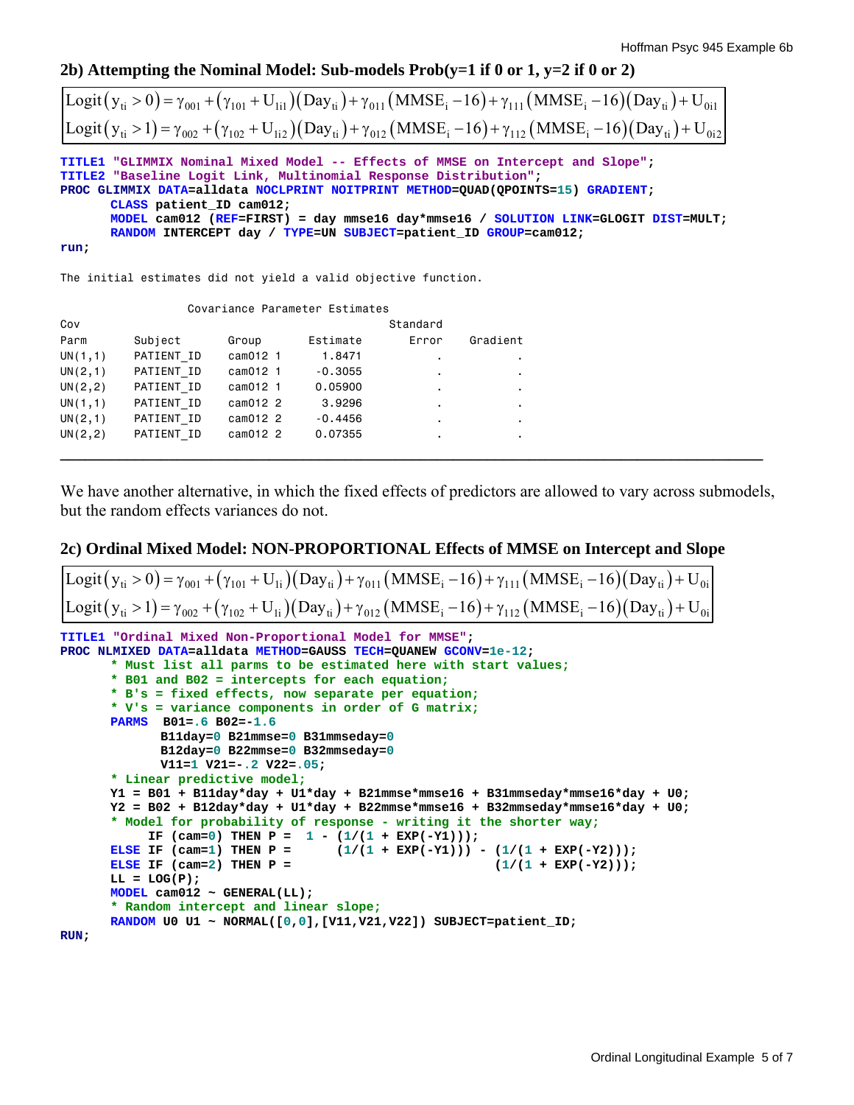**2b) Attempting the Nominal Model: Sub-models Prob(y=1 if 0 or 1, y=2 if 0 or 2)** 

| $\left[Logit(y_{ti} > 0) = \gamma_{001} + (\gamma_{101} + U_{1i1})(Day_{ti}) + \gamma_{011}(MMSE_i - 16) + \gamma_{111}(MMSE_i - 16)(Day_{ti}) + U_{0i1}\right]$                                                                       |
|----------------------------------------------------------------------------------------------------------------------------------------------------------------------------------------------------------------------------------------|
| $ \text{Logit}(y_{ti} > 1) = \gamma_{002} + (\gamma_{102} + U_{1i2})(Day_{ti}) + \gamma_{012}(MMSE_i - 16) + \gamma_{112}(MMSE_i - 16)(Day_{ti}) + U_{0i2} $                                                                           |
| TITLE1 "GLIMMIX Nominal Mixed Model -- Effects of MMSE on Intercept and Slope";<br>TITLE2 "Baseline Logit Link, Multinomial Response Distribution";<br>PROC GLIMMIX DATA=alldata NOCLPRINT NOITPRINT METHOD=QUAD(QPOINTS=15) GRADIENT; |
| CLASS patient ID cam012;<br>MODEL cam012 (REF=FIRST) = day mmse16 day*mmse16 / SOLUTION LINK=GLOGIT DIST=MULT;                                                                                                                         |
| RANDOM INTERCEPT day / TYPE=UN SUBJECT=patient ID GROUP=cam012;                                                                                                                                                                        |

**run;**

The initial estimates did not yield a valid objective function.

|          |            |          | Covariance Parameter Estimates |                |          |
|----------|------------|----------|--------------------------------|----------------|----------|
| Cov      |            |          |                                | Standard       |          |
| Parm     | Subject    | Group    | Estimate                       | Error          | Gradient |
| UN(1,1)  | PATIENT ID | cam012 1 | 1.8471                         |                |          |
| UN(2,1)  | PATIENT ID | cam012 1 | $-0.3055$                      |                |          |
| UN(2, 2) | PATIENT ID | cam012 1 | 0.05900                        | $\blacksquare$ |          |
| UN(1,1)  | PATIENT ID | cam012 2 | 3.9296                         |                |          |
| UN(2,1)  | PATIENT ID | cam012 2 | $-0.4456$                      | ٠              |          |
| UN(2, 2) | PATIENT ID | cam012 2 | 0.07355                        |                |          |
|          |            |          |                                |                |          |

We have another alternative, in which the fixed effects of predictors are allowed to vary across submodels, but the random effects variances do not.

## **2c) Ordinal Mixed Model: NON-PROPORTIONAL Effects of MMSE on Intercept and Slope**

```
TITLE1 "Ordinal Mixed Non-Proportional Model for MMSE"; 
PROC NLMIXED DATA=alldata METHOD=GAUSS TECH=QUANEW GCONV=1e-12; 
       * Must list all parms to be estimated here with start values;
       * B01 and B02 = intercepts for each equation; 
        * B's = fixed effects, now separate per equation;
       * V's = variance components in order of G matrix;
       PARMS B01=.6 B02=-1.6 
                B11day=0 B21mmse=0 B31mmseday=0
                B12day=0 B22mmse=0 B32mmseday=0 
                V11=1 V21=-.2 V22=.05; 
       * Linear predictive model;
        Y1 = B01 + B11day*day + U1*day + B21mmse*mmse16 + B31mmseday*mmse16*day + U0; 
        Y2 = B02 + B12day*day + U1*day + B22mmse*mmse16 + B32mmseday*mmse16*day + U0; 
       * Model for probability of response - writing it the shorter way;
       IF (cam=0) THEN P = 1 - (1/(1 + EXP(-Y1)));<br>ELSE IF (cam=1) THEN P = (1/(1 + EXP(-Y1))).
                                        (1/(1 + EXP(-Y1))) - (1/(1 + EXP(-Y2)));
       ELSE IF (cam=2) THEN P = (1/(1 + EXP(-Y2)));
       LL = LOG(P);MODEL cam012 ~ GENERAL(LL); 
       * Random intercept and linear slope;
       RANDOM U0 U1 ~ NORMAL([0,0],[V11,V21,V22]) SUBJECT=patient_ID; 
RUN; 
 Logit (y_{ti} > 0) = \gamma_{001} + (\gamma_{101} + U_{1i})(Day_{ti}) + \gamma_{011}(MMSE_i - 16) + \gamma_{111}(MMSE_i - 16)(Day_{ti}) + U_{0i}Logit (y_{ti} > 1) = \gamma_{002} + (\gamma_{102} + U_{1i})(Day_{ti}) + \gamma_{012}(MMSE_i - 16) + \gamma_{112}(MMSE_i - 16)(Day_{ti}) + U_{0i}
```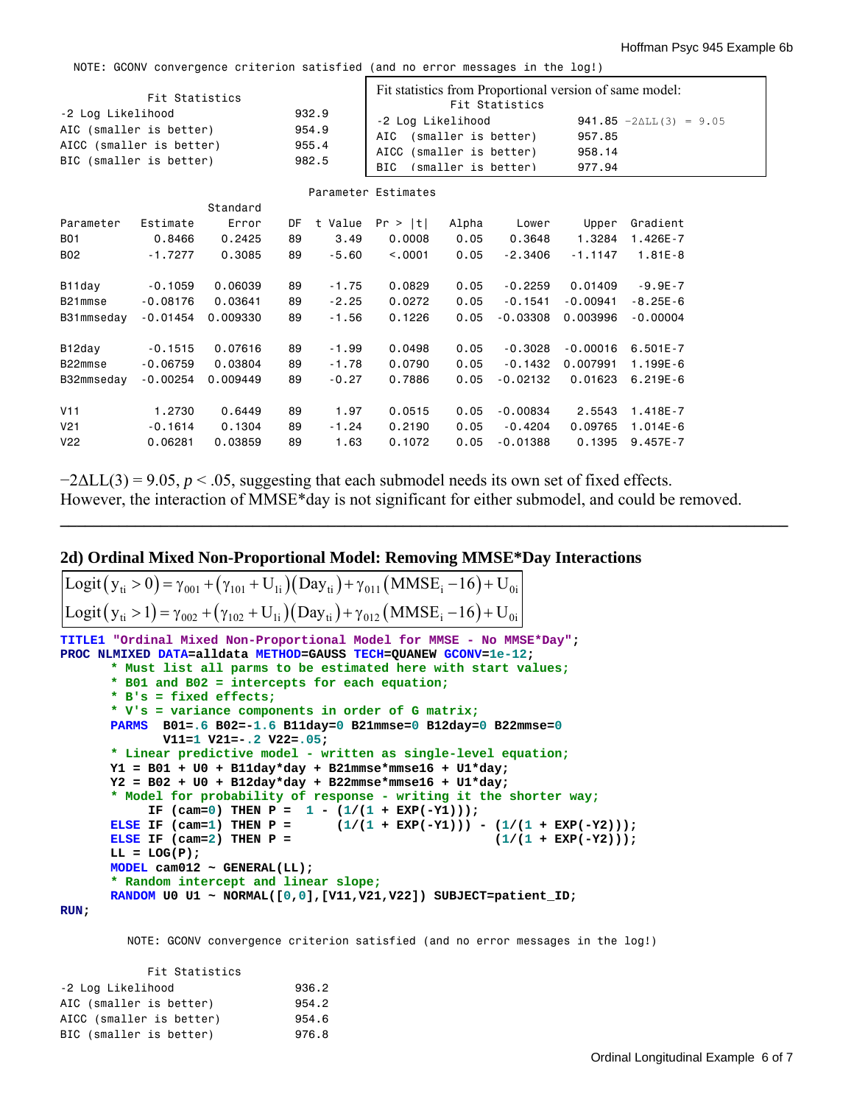NOTE: GCONV convergence criterion satisfied (and no error messages in the log!)

| Fit Statistics<br>-2 Log Likelihood<br>AIC (smaller is better)<br>AICC (smaller is better)<br>BIC (smaller is better) |            |          | 932.9<br>954.9<br>955.4<br>982.5 | Fit statistics from Proportional version of same model:<br>Fit Statistics<br>-2 Log Likelihood<br>AIC (smaller is better)<br>AICC (smaller is better)<br>(smaller is better)<br>BIC. |                     |       | 941.85 $-2\Delta L L$ (3) = 9.05<br>957.85<br>958.14<br>977.94 |            |              |
|-----------------------------------------------------------------------------------------------------------------------|------------|----------|----------------------------------|--------------------------------------------------------------------------------------------------------------------------------------------------------------------------------------|---------------------|-------|----------------------------------------------------------------|------------|--------------|
|                                                                                                                       |            |          |                                  |                                                                                                                                                                                      | Parameter Estimates |       |                                                                |            |              |
|                                                                                                                       |            | Standard |                                  |                                                                                                                                                                                      |                     |       |                                                                |            |              |
| Parameter                                                                                                             | Estimate   | Error    | DF                               |                                                                                                                                                                                      | t Value $Pr >  t $  | Alpha | Lower                                                          | Upper      | Gradient     |
| <b>B01</b>                                                                                                            | 0.8466     | 0.2425   | 89                               | 3.49                                                                                                                                                                                 | 0.0008              | 0.05  | 0.3648                                                         | 1.3284     | 1.426E-7     |
| <b>B02</b>                                                                                                            | $-1.7277$  | 0.3085   | 89                               | $-5.60$                                                                                                                                                                              | < 0.0001            | 0.05  | $-2,3406$                                                      | $-1.1147$  | $1.81E - 8$  |
| B11day                                                                                                                | $-0.1059$  | 0.06039  | 89                               | $-1.75$                                                                                                                                                                              | 0.0829              | 0.05  | $-0.2259$                                                      | 0.01409    | $-9.9E - 7$  |
| B21mmse                                                                                                               | $-0.08176$ | 0.03641  | 89                               | $-2.25$                                                                                                                                                                              | 0.0272              | 0.05  | $-0.1541$                                                      | $-0.00941$ | $-8.25E-6$   |
| B31mmseday                                                                                                            | $-0.01454$ | 0.009330 | 89                               | $-1.56$                                                                                                                                                                              | 0.1226              | 0.05  | $-0.03308$                                                     | 0.003996   | $-0.00004$   |
| B12day                                                                                                                | $-0.1515$  | 0.07616  | 89                               | $-1.99$                                                                                                                                                                              | 0.0498              | 0.05  | $-0.3028$                                                      | $-0.00016$ | $6.501E - 7$ |
| B22mmse                                                                                                               | $-0.06759$ | 0.03804  | 89                               | $-1.78$                                                                                                                                                                              | 0.0790              | 0.05  | $-0.1432$                                                      | 0.007991   | 1.199E-6     |
| B32mmseday                                                                                                            | $-0.00254$ | 0.009449 | 89                               | $-0.27$                                                                                                                                                                              | 0.7886              | 0.05  | $-0.02132$                                                     | 0.01623    | $6.219E - 6$ |
| V11                                                                                                                   | 1.2730     | 0.6449   | 89                               | 1.97                                                                                                                                                                                 | 0.0515              | 0.05  | $-0.00834$                                                     | 2,5543     | 1.418E-7     |
| V <sub>21</sub>                                                                                                       | $-0.1614$  | 0.1304   | 89                               | $-1.24$                                                                                                                                                                              | 0.2190              | 0.05  | $-0.4204$                                                      | 0.09765    | $1.014E - 6$ |
| V <sub>22</sub>                                                                                                       | 0.06281    | 0.03859  | 89                               | 1.63                                                                                                                                                                                 | 0.1072              | 0.05  | $-0.01388$                                                     | 0.1395     | $9.457E - 7$ |

 $-2\Delta LL(3) = 9.05$ ,  $p < .05$ , suggesting that each submodel needs its own set of fixed effects. However, the interaction of MMSE\*day is not significant for either submodel, and could be removed.

**\_\_\_\_\_\_\_\_\_\_\_\_\_\_\_\_\_\_\_\_\_\_\_\_\_\_\_\_\_\_\_\_\_\_\_\_\_\_\_\_\_\_\_\_\_\_\_\_\_\_\_\_\_\_\_\_\_\_\_\_\_\_\_\_\_\_\_\_\_\_\_\_\_\_\_\_\_\_\_\_\_\_\_\_\_\_\_**

#### **2d) Ordinal Mixed Non-Proportional Model: Removing MMSE\*Day Interactions**

```
Logit (y_{ti} > 0) = \gamma_{001} + (\gamma_{101} + U_{1i})(Day_{ti}) + \gamma_{011}(MMSE_i - 16) + U_{0i}Logit (y_{ti} > 1) = \gamma_{002} + (\gamma_{102} + U_{1i})(Day_{ti}) + \gamma_{012}(MMSE_i - 16) + U_{0i}
```

```
TITLE1 "Ordinal Mixed Non-Proportional Model for MMSE - No MMSE*Day"; 
PROC NLMIXED DATA=alldata METHOD=GAUSS TECH=QUANEW GCONV=1e-12; 
       * Must list all parms to be estimated here with start values;
       * B01 and B02 = intercepts for each equation; 
       * B's = fixed effects;
       * V's = variance components in order of G matrix;
      PARMS B01=.6 B02=-1.6 B11day=0 B21mmse=0 B12day=0 B22mmse=0
              V11=1 V21=-.2 V22=.05; 
       * Linear predictive model - written as single-level equation;
       Y1 = B01 + U0 + B11day*day + B21mmse*mmse16 + U1*day; 
       Y2 = B02 + U0 + B12day*day + B22mmse*mmse16 + U1*day; 
       * Model for probability of response - writing it the shorter way;
           IF (\text{cam}=0) THEN P = 1 - (1/(1 + \text{EXP}(-Y1)));
      ELSE IF (cam=1) THEN P = (1/(1 + \text{EXP}(-Y1))) - (1/(1 + \text{EXP}(-Y2)));
      ELSE IF (\text{cam}=2) THEN P = (1/(1 + \text{EXP}(-Y2)));
      LL = LOG(P);MODEL cam012 ~ GENERAL(LL); 
       * Random intercept and linear slope;
      RANDOM U0 U1 ~ NORMAL([0,0],[V11,V21,V22]) SUBJECT=patient_ID; 
RUN;
```
NOTE: GCONV convergence criterion satisfied (and no error messages in the log!)

| Fit Statistics           |       |
|--------------------------|-------|
| -2 Log Likelihood        | 936.2 |
| AIC (smaller is better)  | 954.2 |
| AICC (smaller is better) | 954.6 |
| BIC (smaller is better)  | 976.8 |